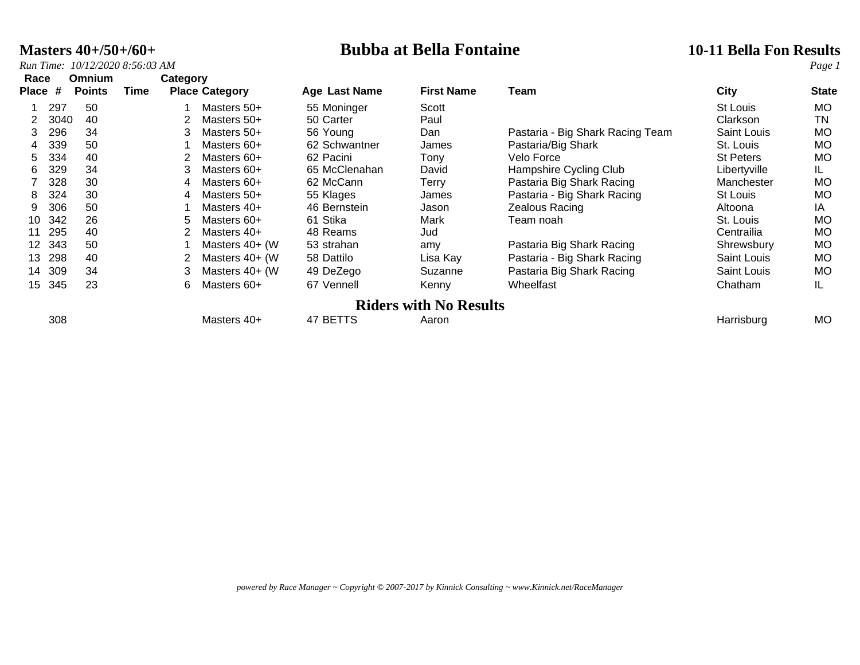**Masters 40+/50+/60+**<br> *Run Time:* 10/12/2020 8:56:03 AM<br> *Run Time:* 10/12/2020 8:56:03 AM

| Race            |      | Omnium        |      | Category |                       |               |                               |                                  |                    |              |
|-----------------|------|---------------|------|----------|-----------------------|---------------|-------------------------------|----------------------------------|--------------------|--------------|
| Place           | #    | <b>Points</b> | Time |          | <b>Place Category</b> | Age Last Name | <b>First Name</b>             | Team                             | <b>City</b>        | <b>State</b> |
|                 | 297  | 50            |      |          | Masters 50+           | 55 Moninger   | Scott                         |                                  | St Louis           | MO           |
|                 | 3040 | 40            |      |          | Masters 50+           | 50 Carter     | Paul                          |                                  | Clarkson           | TN           |
| 3               | 296  | 34            |      | 3        | Masters 50+           | 56 Young      | Dan                           | Pastaria - Big Shark Racing Team | Saint Louis        | <b>MO</b>    |
| 4               | 339  | 50            |      |          | Masters 60+           | 62 Schwantner | James                         | Pastaria/Big Shark               | St. Louis          | <b>MO</b>    |
| 5               | 334  | 40            |      |          | Masters 60+           | 62 Pacini     | Tony                          | Velo Force                       | <b>St Peters</b>   | <b>MO</b>    |
| 6.              | 329  | 34            |      | 3        | Masters 60+           | 65 McClenahan | David                         | Hampshire Cycling Club           | Libertyville       | IL           |
|                 | 328  | 30            |      | 4        | Masters 60+           | 62 McCann     | Terry                         | Pastaria Big Shark Racing        | Manchester         | <b>MO</b>    |
| 8               | 324  | 30            |      | 4        | Masters 50+           | 55 Klages     | James                         | Pastaria - Big Shark Racing      | St Louis           | <b>MO</b>    |
| 9               | 306  | 50            |      |          | Masters 40+           | 46 Bernstein  | Jason                         | Zealous Racing                   | Altoona            | IA           |
| 10              | 342  | 26            |      | 5.       | Masters 60+           | 61 Stika      | Mark                          | Team noah                        | St. Louis          | <b>MO</b>    |
| 11              | 295  | 40            |      |          | Masters 40+           | 48 Reams      | Jud                           |                                  | Centrailia         | <b>MO</b>    |
| 12 <sup>1</sup> | 343  | 50            |      |          | Masters 40+ (W        | 53 strahan    | amy                           | Pastaria Big Shark Racing        | Shrewsbury         | <b>MO</b>    |
| 13              | 298  | 40            |      |          | Masters 40+ (W        | 58 Dattilo    | Lisa Kay                      | Pastaria - Big Shark Racing      | <b>Saint Louis</b> | <b>MO</b>    |
| 14              | 309  | 34            |      | 3        | Masters 40+ (W        | 49 DeZego     | Suzanne                       | Pastaria Big Shark Racing        | Saint Louis        | <b>MO</b>    |
| 15              | 345  | 23            |      | 6        | Masters 60+           | 67 Vennell    | Kenny                         | Wheelfast                        | Chatham            | IL.          |
|                 |      |               |      |          |                       |               | <b>Riders with No Results</b> |                                  |                    |              |
|                 | 308  |               |      |          | Masters 40+           | 47 BETTS      | Aaron                         |                                  | Harrisburg         | <b>MO</b>    |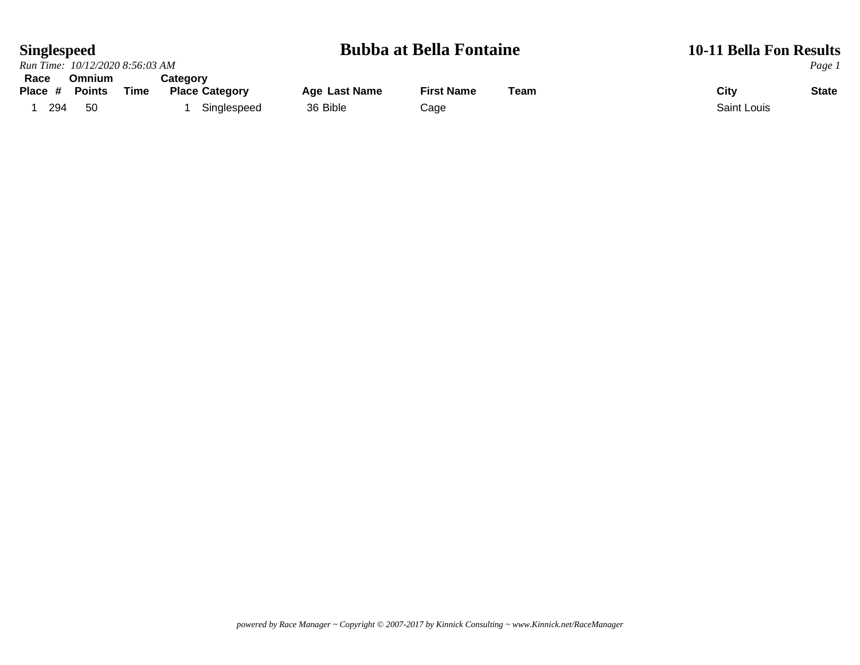### **Singlespeed Bubba at Bella Fontaine 10-11 Bella Fon Results**

|         | Run Time: 10/12/2020 8:56:03 AM |      |                       |               |                   |      |             |              |  |  |  |  |
|---------|---------------------------------|------|-----------------------|---------------|-------------------|------|-------------|--------------|--|--|--|--|
| Race    | <b>Omnium</b>                   |      | Category              |               |                   |      |             | Page 1       |  |  |  |  |
| Place # | <b>Points</b>                   | Time | <b>Place Category</b> | Age Last Name | <b>First Name</b> | Team | City        | <b>State</b> |  |  |  |  |
| 294     | 50                              |      | Singlespeed           | 36 Bible      | Cage              |      | Saint Louis |              |  |  |  |  |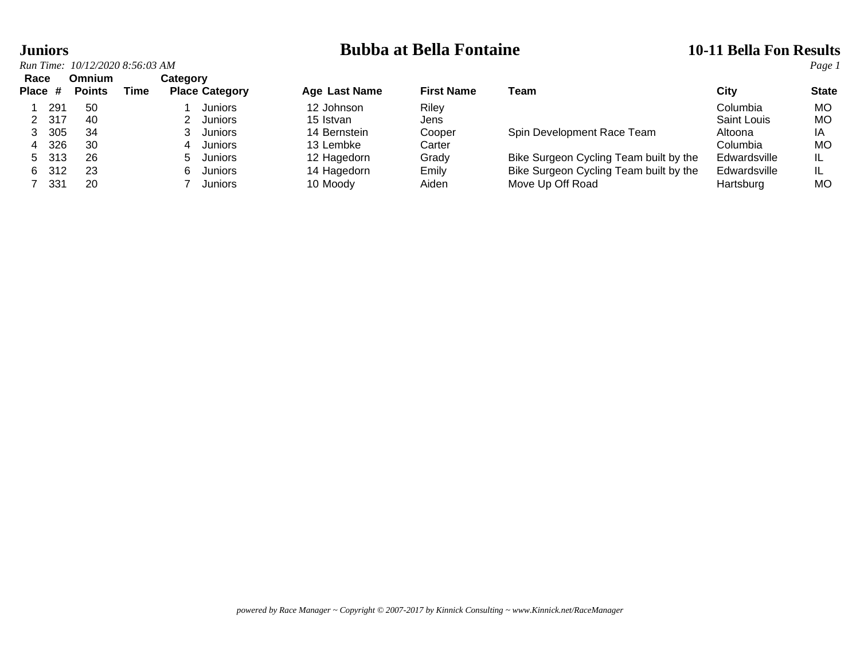# **Juniors**<br> **Bubba at Bella Fontaine 10-11 Bella Fon Results**<br> **Run Time:** 10/12/2020 8:56:03 AM

| Race    |       | Omnium        |      | Category |                       |               |                   |                                        |              |              |
|---------|-------|---------------|------|----------|-----------------------|---------------|-------------------|----------------------------------------|--------------|--------------|
| Place # |       | <b>Points</b> | Time |          | <b>Place Category</b> | Age Last Name | <b>First Name</b> | Team                                   | City         | <b>State</b> |
|         | 291   | -50           |      |          | <b>Juniors</b>        | 12 Johnson    | Rilev             |                                        | Columbia     | <b>MO</b>    |
|         | -317  | 40            |      |          | Juniors               | 15 Istvan     | Jens              |                                        | Saint Louis  | <b>MO</b>    |
|         | 305   | 34            |      |          | Juniors               | 14 Bernstein  | Cooper            | Spin Development Race Team             | Altoona      | ΙA           |
| 4       | 326   | 30            |      |          | Juniors               | 13 Lembke     | Carter            |                                        | Columbia     | <b>MO</b>    |
|         | 5 313 | 26            |      |          | Juniors               | 12 Hagedorn   | Grady             | Bike Surgeon Cycling Team built by the | Edwardsville | IL           |
| 6.      | -312  | -23           |      |          | Juniors               | 14 Hagedorn   | Emily             | Bike Surgeon Cycling Team built by the | Edwardsville | IL           |
|         | 331   | 20            |      |          | Juniors               | 10 Moody      | Aiden             | Move Up Off Road                       | Hartsburg    | МO           |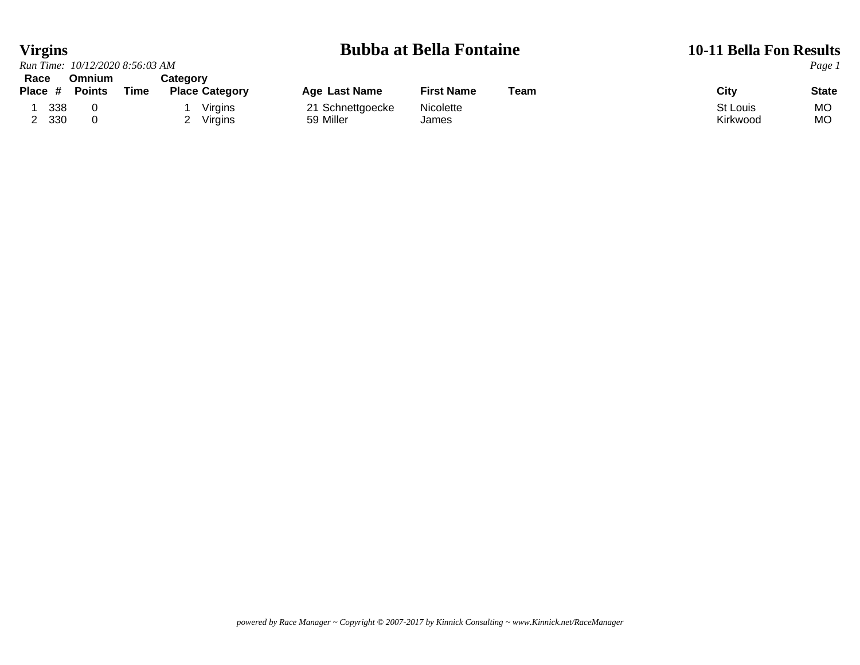### **Virgins Bubba at Bella Fontaine 10-11 Bella Fon Results**<br> *Run Time:* 10/12/2020 8:56:03 AM *Page 1 Run Time:* 10/12/2020 8:56:03 AM **Race Omnium<br>
Place # Points Tim**

| Race    | Omnium        |      | Cateɑorv              |                  |                   |      |          |              |
|---------|---------------|------|-----------------------|------------------|-------------------|------|----------|--------------|
| Place # | <b>Points</b> | Time | <b>Place Category</b> | Age Last Name    | <b>First Name</b> | Team | City     | <b>State</b> |
| 338     |               |      | Virgins               | 21 Schnettgoecke | Nicolette         |      | St Louis | МC           |
| 330     |               |      | Virgins               | 59 Miller        | James             |      | Kirkwood | МC           |
|         |               |      |                       |                  |                   |      |          |              |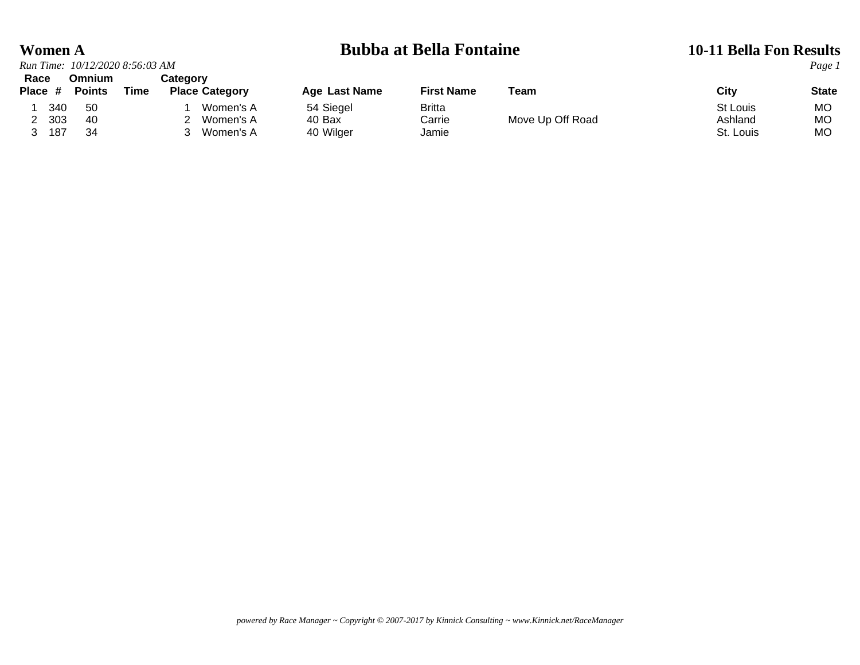|         | <b>Women A</b> |                                 |      |          |                       |               | <b>Bubba at Bella Fontaine</b> | <b>10-11 Bella Fon Results</b> |           |              |
|---------|----------------|---------------------------------|------|----------|-----------------------|---------------|--------------------------------|--------------------------------|-----------|--------------|
|         |                | Run Time: 10/12/2020 8:56:03 AM |      |          |                       |               |                                |                                |           | Page 1       |
| Race    |                | <b>Omnium</b>                   |      | Category |                       |               |                                |                                |           |              |
| Place # |                | <b>Points</b>                   | Time |          | <b>Place Category</b> | Age Last Name | <b>First Name</b>              | Team                           | City      | <b>State</b> |
|         | 340            | -50                             |      |          | Women's A             | 54 Siegel     | Britta                         |                                | St Louis  | МO           |
|         | 303            | -40                             |      |          | Women's A             | 40 Bax        | Carrie                         | Move Up Off Road               | Ashland   | МO           |
|         | 187            | 34                              |      |          | Women's A             | 40 Wilger     | Jamie                          |                                | St. Louis | МO           |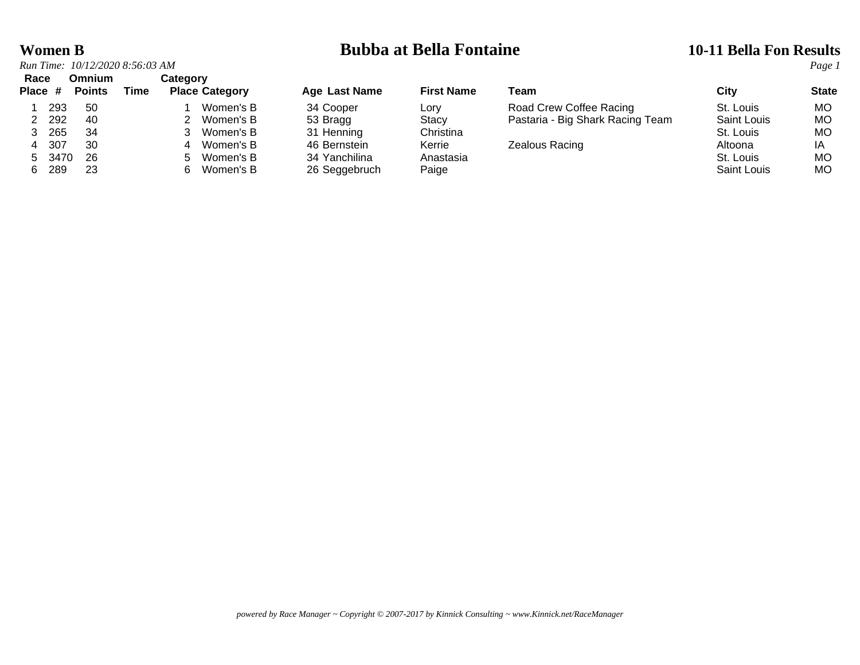| <b>Women B</b>                  | <b>Bubba at Bella Fontaine</b> | <b>10-11 Bella Fon Results</b> |
|---------------------------------|--------------------------------|--------------------------------|
| Run Time: 10/12/2020 8:56:03 AM |                                | Page 1                         |

|                 |         | Run Time: 10/12/2020 8:56:03 AM |      |          |                       |               |                   |                                  |                    | Page 1       |
|-----------------|---------|---------------------------------|------|----------|-----------------------|---------------|-------------------|----------------------------------|--------------------|--------------|
| Race<br>Place # |         | Omnium<br><b>Points</b>         | Time | Category | <b>Place Category</b> | Age Last Name | <b>First Name</b> | Team                             | City               | <b>State</b> |
|                 | 293     | -50                             |      |          | Women's B             | 34 Cooper     | Lory              | Road Crew Coffee Racing          | St. Louis          | MO.          |
|                 | 2 2 9 2 | 40                              |      |          | 2 Women's B           | 53 Bragg      | Stacy             | Pastaria - Big Shark Racing Team | <b>Saint Louis</b> | МO           |
|                 | 265     | -34                             |      |          | 3 Women's B           | 31 Henning    | Christina         |                                  | St. Louis          | МO           |
|                 | 4 307   | 30                              |      |          | 4 Women's B           | 46 Bernstein  | Kerrie            | Zealous Racing                   | Altoona            | ΙA           |
|                 | 5 3470  | 26                              |      |          | 5 Women's B           | 34 Yanchilina | Anastasia         |                                  | St. Louis          | МO           |
|                 | 289     | 23                              |      | 6.       | Women's B             | 26 Seagebruch | Paige             |                                  | <b>Saint Louis</b> | MO.          |

|    | Place # | <b>Points</b> | Time | <b>Place Category</b> | Age Last Name | <b>First Name</b> | Геаm                             | City        | <b>State</b> |
|----|---------|---------------|------|-----------------------|---------------|-------------------|----------------------------------|-------------|--------------|
|    | 293     | 50            |      | Women's B             | 34 Cooper     | Lorv              | Road Crew Coffee Racing          | St. Louis   | MO.          |
|    | 292     | 40            |      | Women's B             | 53 Bragg      | Stacy             | Pastaria - Big Shark Racing Team | Saint Louis | МO           |
|    | 265     | 34            |      | Women's B             | 31 Henning    | Christina         |                                  | St. Louis   | МO           |
|    | 307     | 30            |      | Women's B             | 46 Bernstein  | Kerrie            | Zealous Racing                   | Altoona     | ΙA           |
|    | 5 3470  | -26           |      | Women's B<br>$\sim$   | 34 Yanchilina | Anastasia         |                                  | St. Louis   | МO           |
| 6. | 289     | 23            |      | Women's B             | 26 Seggebruch | Paige             |                                  | Saint Louis | МO           |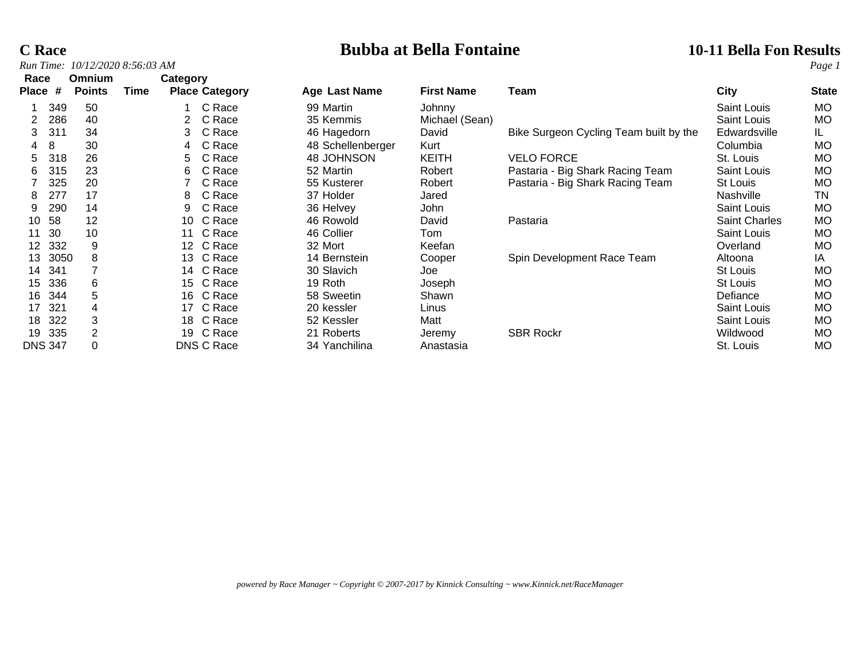# **C Race Bubba at Bella Fontaine 10-11 Bella Fon Results**

| Race           |      | <b>Omnium</b> |      | Category        |                       |                   |                   |                                        |                      |              |
|----------------|------|---------------|------|-----------------|-----------------------|-------------------|-------------------|----------------------------------------|----------------------|--------------|
| <b>Place</b>   | #    | <b>Points</b> | Time |                 | <b>Place Category</b> | Age Last Name     | <b>First Name</b> | Team                                   | City                 | <b>State</b> |
|                | 349  | 50            |      |                 | C Race                | 99 Martin         | Johnny            |                                        | Saint Louis          | MO           |
| 2              | 286  | 40            |      |                 | C Race                | 35 Kemmis         | Michael (Sean)    |                                        | Saint Louis          | <b>MO</b>    |
| 3              | 311  | 34            |      | 3.              | C Race                | 46 Hagedorn       | David             | Bike Surgeon Cycling Team built by the | Edwardsville         | IL.          |
| 4              | 8    | 30            |      | 4               | C Race                | 48 Schellenberger | Kurt              |                                        | Columbia             | MO           |
| 5              | 318  | 26            |      | 5               | C Race                | 48 JOHNSON        | <b>KEITH</b>      | <b>VELO FORCE</b>                      | St. Louis            | MO           |
| 6              | 315  | 23            |      | 6               | C Race                | 52 Martin         | Robert            | Pastaria - Big Shark Racing Team       | Saint Louis          | <b>MO</b>    |
|                | 325  | 20            |      |                 | C Race                | 55 Kusterer       | Robert            | Pastaria - Big Shark Racing Team       | St Louis             | МO           |
| 8              | 277  | 17            |      | 8               | C Race                | 37 Holder         | Jared             |                                        | <b>Nashville</b>     | TN           |
| 9              | 290  | 14            |      | 9               | C Race                | 36 Helvey         | <b>John</b>       |                                        | Saint Louis          | <b>MO</b>    |
| 10             | 58   | 12            |      | 10              | C Race                | 46 Rowold         | David             | Pastaria                               | <b>Saint Charles</b> | МO           |
| 11             | 30   | 10            |      | 11              | C Race                | 46 Collier        | Tom               |                                        | Saint Louis          | <b>MO</b>    |
| 12             | 332  | 9             |      | 12 <sup>°</sup> | C Race                | 32 Mort           | Keefan            |                                        | Overland             | <b>MO</b>    |
| 13             | 3050 | 8             |      | 13              | C Race                | 14 Bernstein      | Cooper            | Spin Development Race Team             | Altoona              | IA           |
| 14             | 341  |               |      | 14              | C Race                | 30 Slavich        | Joe               |                                        | <b>St Louis</b>      | МO           |
| 15             | 336  | 6             |      | 15              | C Race                | 19 Roth           | Joseph            |                                        | St Louis             | <b>MO</b>    |
| 16             | 344  | 5             |      | 16              | C Race                | 58 Sweetin        | Shawn             |                                        | Defiance             | MO           |
| 17             | 321  |               |      | 17              | C Race                | 20 kessler        | Linus             |                                        | Saint Louis          | <b>MO</b>    |
| 18             | 322  | 3             |      | 18              | C Race                | 52 Kessler        | Matt              |                                        | <b>Saint Louis</b>   | <b>MO</b>    |
| 19             | 335  | 2             |      | 19              | C Race                | 21 Roberts        | Jeremy            | <b>SBR Rockr</b>                       | Wildwood             | МO           |
| <b>DNS 347</b> |      |               |      |                 | DNS C Race            | 34 Yanchilina     | Anastasia         |                                        | St. Louis            | МO           |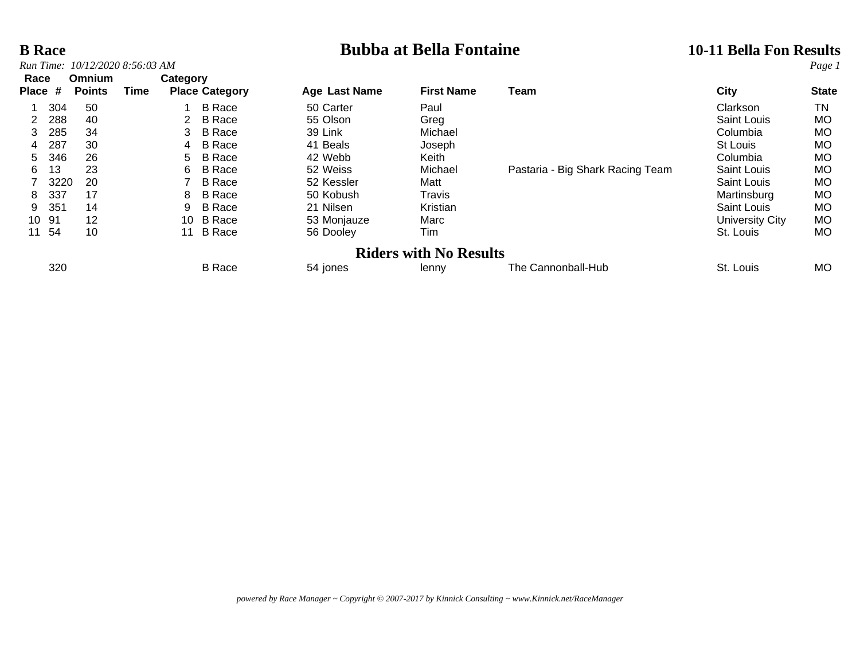# **B Race Bubba at Bella Fontaine 10-11 Bella Fon Results**<br> **Bubba at Bella Fontaine 10-11 Bella Fon Results**

| Race              |               |                       |    |               |                                                   |                   |                                  |                               |              |
|-------------------|---------------|-----------------------|----|---------------|---------------------------------------------------|-------------------|----------------------------------|-------------------------------|--------------|
| <b>Place</b><br># | <b>Points</b> | Time                  |    |               | <b>Age Last Name</b>                              | <b>First Name</b> | Team                             | City                          | <b>State</b> |
|                   | 50            |                       |    | <b>B</b> Race | 50 Carter                                         | Paul              |                                  | Clarkson                      | TN           |
| 288               | 40            |                       |    | <b>B</b> Race | 55 Olson                                          | Greg              |                                  | Saint Louis                   | <b>MO</b>    |
| 285               | 34            |                       | 3  | <b>B</b> Race | 39 Link                                           | Michael           |                                  | Columbia                      | <b>MO</b>    |
| 287               | 30            |                       | 4  | <b>B</b> Race | 41 Beals                                          | Joseph            |                                  | St Louis                      | <b>MO</b>    |
| 346               | 26            |                       | 5. | <b>B</b> Race | 42 Webb                                           | Keith             |                                  | Columbia                      | <b>MO</b>    |
| 13                | 23            |                       | 6. | <b>B</b> Race | 52 Weiss                                          | Michael           | Pastaria - Big Shark Racing Team | Saint Louis                   | <b>MO</b>    |
|                   | 20            |                       |    | <b>B</b> Race | 52 Kessler                                        | Matt              |                                  | <b>Saint Louis</b>            | <b>MO</b>    |
| 337               | 17            |                       | 8  | <b>B</b> Race | 50 Kobush                                         | Travis            |                                  | Martinsburg                   | <b>MO</b>    |
| 351               | 14            |                       | 9  | <b>B</b> Race | 21 Nilsen                                         | Kristian          |                                  | Saint Louis                   | <b>MO</b>    |
| 10 91             | 12            |                       |    |               | 53 Monjauze                                       | Marc              |                                  | University City               | <b>MO</b>    |
| 54                | 10            |                       | 11 | <b>B</b> Race | 56 Dooley                                         | Tim               |                                  | St. Louis                     | <b>MO</b>    |
|                   |               |                       |    |               |                                                   |                   |                                  |                               |              |
| 320               |               |                       |    | <b>B</b> Race | 54 jones                                          | lenny             | The Cannonball-Hub               | St. Louis                     | <b>MO</b>    |
|                   |               | Omnium<br>304<br>3220 |    |               | Category<br><b>Place Category</b><br>B Race<br>10 |                   |                                  | <b>Riders with No Results</b> |              |

*powered by Race Manager ~ Copyright © 2007-2017 by Kinnick Consulting ~ www.Kinnick.net/RaceManager*